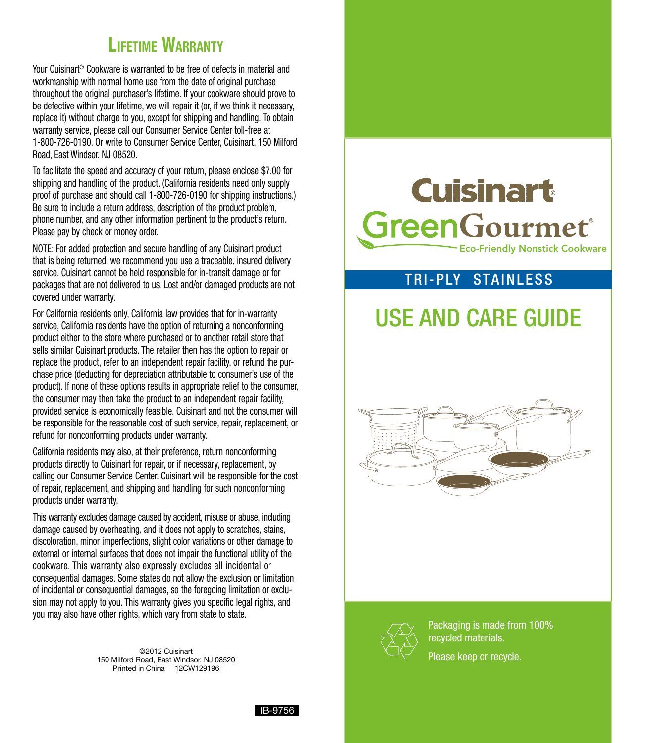### **LIFETIME WARRANTY**

Your Cuisinart® Cookware is warranted to be free of defects in material and workmanship with normal home use from the date of original purchase throughout the original purchaser's lifetime. If your cookware should prove to be defective within your lifetime, we will repair it (or, if we think it necessary, replace it) without charge to you, except for shipping and handling. To obtain warranty service, please call our Consumer Service Center toll-free at 1-800-726-0190. Or write to Consumer Service Center, Cuisinart, 150 Milford Road, East Windsor, NJ 08520.

To facilitate the speed and accuracy of your return, please enclose \$7.00 for shipping and handling of the product. (California residents need only supply proof of purchase and should call 1-800-726-0190 for shipping instructions.) Be sure to include a return address, description of the product problem, phone number, and any other information pertinent to the product's return. Please pay by check or money order.

NOTE: For added protection and secure handling of any Cuisinart product that is being returned, we recommend you use a traceable, insured delivery service. Cuisinart cannot be held responsible for in-transit damage or for packages that are not delivered to us. Lost and/or damaged products are not covered under warranty.

For California residents only, California law provides that for in-warranty service, California residents have the option of returning a nonconforming product either to the store where purchased or to another retail store that sells similar Cuisinart products. The retailer then has the option to repair or replace the product, refer to an independent repair facility, or refund the purchase price (deducting for depreciation attributable to consumer's use of the product). If none of these options results in appropriate relief to the consumer, the consumer may then take the product to an independent repair facility, provided service is economically feasible. Cuisinart and not the consumer will be responsible for the reasonable cost of such service, repair, replacement, or refund for nonconforming products under warranty.

California residents may also, at their preference, return nonconforming products directly to Cuisinart for repair, or if necessary, replacement, by calling our Consumer Service Center. Cuisinart will be responsible for the cost of repair, replacement, and shipping and handling for such nonconforming products under warranty.

This warranty excludes damage caused by accident, misuse or abuse, including damage caused by overheating, and it does not apply to scratches, stains, discoloration, minor imperfections, slight color variations or other damage to external or internal surfaces that does not impair the functional utility of the cookware. This warranty also expressly excludes all incidental or consequential damages. Some states do not allow the exclusion or limitation of incidental or consequential damages, so the foregoing limitation or exclusion may not apply to you. This warranty gives you specific legal rights, and you may also have other rights, which vary from state to state.

> ©2012 Cuisinart 150 Milford Road, East Windsor, NJ 08520 Printed in China 12CW129196

# **Cuisinart** Green**Gourmet®**

Eco-Friendly Nonstick Cookware

#### Tri-ply stainless

## Use and Care Guide





Packaging is made from 100% recycled materials. Please keep or recycle.